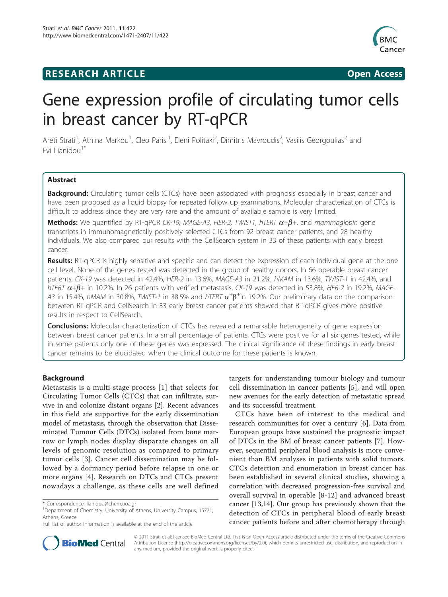# **RESEARCH ARTICLE Example 2018 Open Access**



# Gene expression profile of circulating tumor cells in breast cancer by RT-qPCR

Areti Strati<sup>1</sup>, Athina Markou<sup>1</sup>, Cleo Parisi<sup>1</sup>, Eleni Politaki<sup>2</sup>, Dimitris Mavroudis<sup>2</sup>, Vasilis Georgoulias<sup>2</sup> and Evi Lianidou1\*

# Abstract

Background: Circulating tumor cells (CTCs) have been associated with prognosis especially in breast cancer and have been proposed as a liquid biopsy for repeated follow up examinations. Molecular characterization of CTCs is difficult to address since they are very rare and the amount of available sample is very limited.

Methods: We quantified by RT-qPCR CK-19, MAGE-A3, HER-2, TWIST1, hTERT  $\alpha+\beta+\alpha$ , and mammaglobin gene transcripts in immunomagnetically positively selected CTCs from 92 breast cancer patients, and 28 healthy individuals. We also compared our results with the CellSearch system in 33 of these patients with early breast cancer.

Results: RT-qPCR is highly sensitive and specific and can detect the expression of each individual gene at the one cell level. None of the genes tested was detected in the group of healthy donors. In 66 operable breast cancer patients, CK-19 was detected in 42.4%, HER-2 in 13.6%, MAGE-A3 in 21.2%, hMAM in 13.6%, TWIST-1 in 42.4%, and hTERT  $\alpha+\beta+$  in 10.2%. In 26 patients with verified metastasis, CK-19 was detected in 53.8%, HER-2 in 19.2%, MAGE-A3 in 15.4%, hMAM in 30.8%, TWIST-1 in 38.5% and hTERT  $\alpha^+\beta^+$ in 19.2%. Our preliminary data on the comparison between RT-qPCR and CellSearch in 33 early breast cancer patients showed that RT-qPCR gives more positive results in respect to CellSearch.

**Conclusions:** Molecular characterization of CTCs has revealed a remarkable heterogeneity of gene expression between breast cancer patients. In a small percentage of patients, CTCs were positive for all six genes tested, while in some patients only one of these genes was expressed. The clinical significance of these findings in early breast cancer remains to be elucidated when the clinical outcome for these patients is known.

# **Background**

Metastasis is a multi-stage process [[1](#page-9-0)] that selects for Circulating Tumor Cells (CTCs) that can infiltrate, survive in and colonize distant organs [[2\]](#page-9-0). Recent advances in this field are supportive for the early dissemination model of metastasis, through the observation that Disseminated Tumour Cells (DTCs) isolated from bone marrow or lymph nodes display disparate changes on all levels of genomic resolution as compared to primary tumor cells [\[3](#page-9-0)]. Cancer cell dissemination may be followed by a dormancy period before relapse in one or more organs [[4](#page-9-0)]. Research on DTCs and CTCs present nowadays a challenge, as these cells are well defined

targets for understanding tumour biology and tumour cell dissemination in cancer patients [[5\]](#page-10-0), and will open new avenues for the early detection of metastatic spread and its successful treatment.

CTCs have been of interest to the medical and research communities for over a century [[6\]](#page-10-0). Data from European groups have sustained the prognostic impact of DTCs in the BM of breast cancer patients [\[7](#page-10-0)]. However, sequential peripheral blood analysis is more convenient than BM analyses in patients with solid tumors. CTCs detection and enumeration in breast cancer has been established in several clinical studies, showing a correlation with decreased progression-free survival and overall survival in operable [[8-12](#page-10-0)] and advanced breast cancer [[13,14](#page-10-0)]. Our group has previously shown that the detection of CTCs in peripheral blood of early breast cancer patients before and after chemotherapy through



© 2011 Strati et al; licensee BioMed Central Ltd. This is an Open Access article distributed under the terms of the Creative Commons Attribution License [\(http://creativecommons.org/licenses/by/2.0](http://creativecommons.org/licenses/by/2.0)), which permits unrestricted use, distribution, and reproduction in any medium, provided the original work is properly cited.

<sup>\*</sup> Correspondence: [lianidou@chem.uoa.gr](mailto:lianidou@chem.uoa.gr)

<sup>&</sup>lt;sup>1</sup>Department of Chemistry, University of Athens, University Campus, 15771, Athens, Greece

Full list of author information is available at the end of the article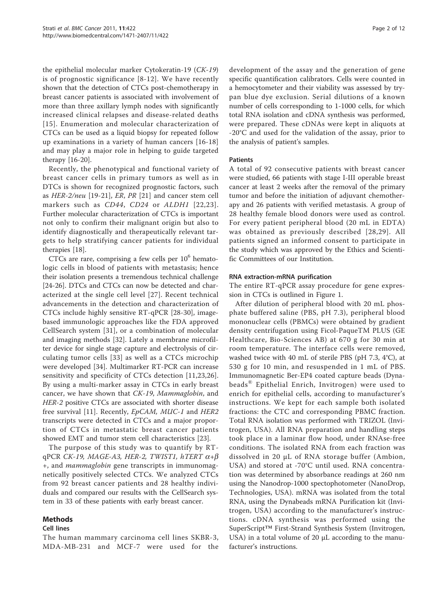the epithelial molecular marker Cytokeratin-19 (CK-19) is of prognostic significance [[8](#page-10-0)-[12](#page-10-0)]. We have recently shown that the detection of CTCs post-chemotherapy in breast cancer patients is associated with involvement of more than three axillary lymph nodes with significantly increased clinical relapses and disease-related deaths [[15\]](#page-10-0). Enumeration and molecular characterization of CTCs can be used as a liquid biopsy for repeated follow up examinations in a variety of human cancers [[16-18](#page-10-0)] and may play a major role in helping to guide targeted therapy [\[16](#page-10-0)-[20\]](#page-10-0).

Recently, the phenotypical and functional variety of breast cancer cells in primary tumors as well as in DTCs is shown for recognized prognostic factors, such as HER-2/neu [[19-21](#page-10-0)], ER, PR [[21\]](#page-10-0) and cancer stem cell markers such as CD44, CD24 or ALDH1 [[22](#page-10-0),[23\]](#page-10-0). Further molecular characterization of CTCs is important not only to confirm their malignant origin but also to identify diagnostically and therapeutically relevant targets to help stratifying cancer patients for individual therapies [[18\]](#page-10-0).

CTCs are rare, comprising a few cells per  $10^6$  hematologic cells in blood of patients with metastasis; hence their isolation presents a tremendous technical challenge [[24-26\]](#page-10-0). DTCs and CTCs can now be detected and characterized at the single cell level [[27](#page-10-0)]. Recent technical advancements in the detection and characterization of CTCs include highly sensitive RT-qPCR [\[28](#page-10-0)-[30\]](#page-10-0), imagebased immunologic approaches like the FDA approved CellSearch system [[31\]](#page-10-0), or a combination of molecular and imaging methods [\[32\]](#page-10-0). Lately a membrane microfilter device for single stage capture and electrolysis of circulating tumor cells [[33\]](#page-10-0) as well as a CTCs microchip were developed [\[34](#page-10-0)]. Multimarker RT-PCR can increase sensitivity and specificity of CTCs detection [\[11](#page-10-0),[23,26](#page-10-0)]. By using a multi-marker assay in CTCs in early breast cancer, we have shown that CK-19, Mammaglobin, and HER-2 positive CTCs are associated with shorter disease free survival [\[11](#page-10-0)]. Recently, *EpCAM*, *MUC-1* and *HER2* transcripts were detected in CTCs and a major proportion of CTCs in metastatic breast cancer patients showed EMT and tumor stem cell characteristics [\[23](#page-10-0)].

The purpose of this study was to quantify by RTqPCR CK-19, MAGE-A3, HER-2, TWIST1, hTERT  $\alpha+\beta$ +, and mammaglobin gene transcripts in immunomagnetically positively selected CTCs. We analyzed CTCs from 92 breast cancer patients and 28 healthy individuals and compared our results with the CellSearch system in 33 of these patients with early breast cancer.

## Methods

## Cell lines

development of the assay and the generation of gene specific quantification calibrators. Cells were counted in a hemocytometer and their viability was assessed by trypan blue dye exclusion. Serial dilutions of a known number of cells corresponding to 1-1000 cells, for which total RNA isolation and cDNA synthesis was performed, were prepared. These cDNAs were kept in aliquots at -20°C and used for the validation of the assay, prior to the analysis of patient's samples.

## Patients

A total of 92 consecutive patients with breast cancer were studied, 66 patients with stage I-III operable breast cancer at least 2 weeks after the removal of the primary tumor and before the initiation of adjuvant chemotherapy and 26 patients with verified metastasis. A group of 28 healthy female blood donors were used as control. For every patient peripheral blood (20 mL in EDTA) was obtained as previously described [[28](#page-10-0),[29\]](#page-10-0). All patients signed an informed consent to participate in the study which was approved by the Ethics and Scientific Committees of our Institution.

# RNA extraction-mRNA purification

The entire RT-qPCR assay procedure for gene expression in CTCs is outlined in Figure [1](#page-2-0).

After dilution of peripheral blood with 20 mL phosphate buffered saline (PBS, pH 7.3), peripheral blood mononuclear cells (PBMCs) were obtained by gradient density centrifugation using Ficol-PaqueTM PLUS (GE Healthcare, Bio-Sciences AB) at 670 g for 30 min at room temperature. The interface cells were removed, washed twice with 40 mL of sterile PBS (pH 7.3, 4°C), at 530 g for 10 min, and resuspended in 1 mL of PBS. Immunomagnetic Ber-EP4 coated capture beads (Dynabeads® Epithelial Enrich, Invitrogen) were used to enrich for epithelial cells, according to manufacturer's instructions. We kept for each sample both isolated fractions: the CTC and corresponding PBMC fraction. Total RNA isolation was performed with TRIZOL (Invitrogen, USA). All RNA preparation and handling steps took place in a laminar flow hood, under RNAse-free conditions. The isolated RNA from each fraction was dissolved in 20 μL of RNA storage buffer (Ambion, USA) and stored at -70°C until used. RNA concentration was determined by absorbance readings at 260 nm using the Nanodrop-1000 spectophotometer (NanoDrop, Technologies, USA). mRNA was isolated from the total RNA, using the Dynabeads mRNA Purification kit (Invitrogen, USA) according to the manufacturer's instructions. cDNA synthesis was performed using the SuperScript™ First-Strand Synthesis System (Invitrogen, USA) in a total volume of 20 μL according to the manufacturer's instructions.

The human mammary carcinoma cell lines SKBR-3, MDA-MB-231 and MCF-7 were used for the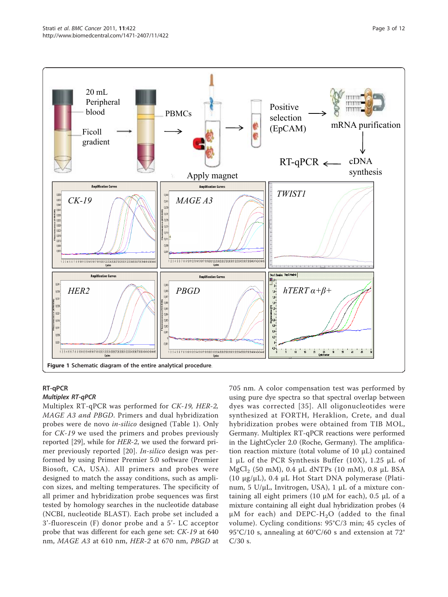<span id="page-2-0"></span>

#### RT-qPCR

#### Multiplex RT-qPCR

Multiplex RT-qPCR was performed for CK-19, HER-2, MAGE A3 and PBGD. Primers and dual hybridization probes were de novo in-silico designed (Table [1](#page-3-0)). Only for CK-19 we used the primers and probes previously reported [[29\]](#page-10-0), while for HER-2, we used the forward primer previously reported [[20](#page-10-0)]. In-silico design was performed by using Primer Premier 5.0 software (Premier Biosoft, CA, USA). All primers and probes were designed to match the assay conditions, such as amplicon sizes, and melting temperatures. The specificity of all primer and hybridization probe sequences was first tested by homology searches in the nucleotide database (NCBI, nucleotide BLAST). Each probe set included a 3'-fluorescein (F) donor probe and a 5'- LC acceptor probe that was different for each gene set: CK-19 at 640 nm, MAGE A3 at 610 nm, HER-2 at 670 nm, PBGD at 705 nm. A color compensation test was performed by using pure dye spectra so that spectral overlap between dyes was corrected [[35](#page-10-0)]. All oligonucleotides were synthesized at FORTH, Heraklion, Crete, and dual hybridization probes were obtained from TIB MOL, Germany. Multiplex RT-qPCR reactions were performed in the LightCycler 2.0 (Roche, Germany). The amplification reaction mixture (total volume of 10 μL) contained 1 μL of the PCR Synthesis Buffer (10Χ), 1.25 μL of  $MgCl<sub>2</sub>$  (50 mM), 0.4 μL dNTPs (10 mM), 0.8 μL BSA (10 μg/μL), 0.4 μL Hot Start DNA polymerase (Platinum, 5 U/μL, Invitrogen, USA), 1 μL of a mixture containing all eight primers (10  $\mu$ M for each), 0.5  $\mu$ L of a mixture containing all eight dual hybridization probes (4  $\mu$ M for each) and DEPC-H<sub>2</sub>O (added to the final volume). Cycling conditions: 95°C/3 min; 45 cycles of 95°C/10 s, annealing at 60°C/60 s and extension at 72° C/30 s.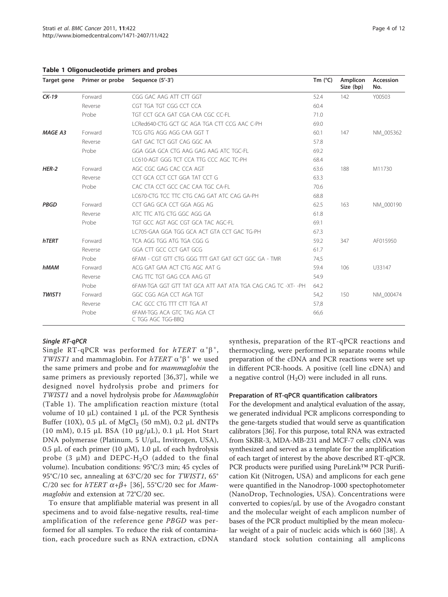<span id="page-3-0"></span>Table 1 Oligonucleotide primers and probes

| <b>Target gene</b> | Primer or probe | Sequence (5'-3')                                             | Tm $(^{\circ}C)$ | Amplicon<br>Size (bp) | Accession<br>No. |
|--------------------|-----------------|--------------------------------------------------------------|------------------|-----------------------|------------------|
| $CK-19$            | Forward         | CGG GAC AAG ATT CTT GGT                                      | 52.4             | 142                   | Y00503           |
|                    | Reverse         | CGT TGA TGT CGG CCT CCA                                      | 60.4             |                       |                  |
|                    | Probe           | TGT CCT GCA GAT CGA CAA CGC CC-FL                            | 71.0             |                       |                  |
|                    |                 | LCRed640-CTG GCT GC AGA TGA CTT CCG AAC C-PH                 | 69.0             |                       |                  |
| <b>MAGE A3</b>     | Forward         | TCG GTG AGG AGG CAA GGT T                                    | 60.1             | 147                   | NM 005362        |
|                    | Reverse         | GAT GAC TCT GGT CAG GGC AA                                   | 57.8             |                       |                  |
|                    | Probe           | GGA GGA GCA CTG AAG GAG AAG ATC TGC-FL                       | 69.2             |                       |                  |
|                    |                 | LC610-AGT GGG TCT CCA TTG CCC AGC TC-PH                      | 68.4             |                       |                  |
| $HER-2$            | Forward         | AGC CGC GAG CAC CCA AGT                                      | 63.6             | 188                   | M11730           |
|                    | Reverse         | CCT GCA CCT CCT GGA TAT CCT G                                | 63.3             |                       |                  |
|                    | Probe           | CAC CTA CCT GCC CAC CAA TGC CA-FL                            | 70.6             |                       |                  |
|                    |                 | LC670-CTG TCC TTC CTG CAG GAT ATC CAG GA-PH                  | 68.8             |                       |                  |
| <b>PBGD</b>        | Forward         | CCT GAG GCA CCT GGA AGG AG                                   | 62.5             | 163                   | NM_000190        |
|                    | Reverse         | ATC TTC ATG CTG GGC AGG GA                                   | 61.8             |                       |                  |
|                    | Probe           | TGT GCC AGT AGC CGT GCA TAC AGC-FL                           | 69.1             |                       |                  |
|                    |                 | LC705-GAA GGA TGG GCA ACT GTA CCT GAC TG-PH                  | 67.3             |                       |                  |
| <b>hTERT</b>       | Forward         | TCA AGG TGG ATG TGA CGG G                                    | 59.2             | 347                   | AF015950         |
|                    | Reverse         | GGA CTT GCC CCT GAT GCG                                      | 61.7             |                       |                  |
|                    | Probe           | 6FAM - CGT GTT CTG GGG TTT GAT GAT GCT GGC GA - TMR          | 74,5             |                       |                  |
| hMAM               | Forward         | ACG GAT GAA ACT CTG AGC AAT G                                | 59.4             | 106                   | U33147           |
|                    | Reverse         | CAG TTC TGT GAG CCA AAG GT                                   | 54.9             |                       |                  |
|                    | Probe           | 6FAM-TGA GGT GTT TAT GCA ATT AAT ATA TGA CAG CAG TC -XT- -PH | 64.2             |                       |                  |
| TWIST1             | Forward         | GGC CGG AGA CCT AGA TGT                                      | 54,2             | 150                   | NM 000474        |
|                    | Reverse         | CAC GCC CTG TTT CTT TGA AT                                   | 57,8             |                       |                  |
|                    | Probe           | 6FAM-TGG ACA GTC TAG AGA CT<br>C TGG AGC TGG-BBQ             | 66,6             |                       |                  |

## Single RT-qPCR

Single RT-qPCR was performed for  $h \text{ TERT } \alpha^+ \beta^+$ , TWIST1 and mammaglobin. For  $hTERT \alpha^+\beta^+$  we used the same primers and probe and for mammaglobin the same primers as previously reported [[36,37\]](#page-10-0), while we designed novel hydrolysis probe and primers for TWIST1 and a novel hydrolysis probe for Mammaglobin (Table 1). The amplification reaction mixture (total volume of 10 μL) contained 1 μL of the PCR Synthesis Buffer (10X), 0.5 μL of MgCl<sub>2</sub> (50 mM), 0.2 μL dNTPs (10 mM), 0.15 μL BSA (10 μg/μL), 0.1 μL Hot Start DNA polymerase (Platinum, 5 U/μL, Invitrogen, USA), 0.5 μL of each primer (10 μM), 1.0 μL of each hydrolysis probe (3  $\mu$ M) and DEPC-H<sub>2</sub>O (added to the final volume). Incubation conditions: 95°C/3 min; 45 cycles of 95°C/10 sec, annealing at 63°C/20 sec for TWIST1, 65° C/20 sec for  $hTERT \alpha + \beta + [36]$  $hTERT \alpha + \beta + [36]$  $hTERT \alpha + \beta + [36]$ , 55°C/20 sec for Mammaglobin and extension at 72°C/20 sec.

To ensure that amplifiable material was present in all specimens and to avoid false-negative results, real-time amplification of the reference gene PBGD was performed for all samples. To reduce the risk of contamination, each procedure such as RNA extraction, cDNA synthesis, preparation of the RT-qPCR reactions and thermocycling, were performed in separate rooms while preparation of the cDNA and PCR reactions were set up in different PCR-hoods. A positive (cell line cDNA) and a negative control  $(H_2O)$  were included in all runs.

#### Preparation of RT-qPCR quantification calibrators

For the development and analytical evaluation of the assay, we generated individual PCR amplicons corresponding to the gene-targets studied that would serve as quantification calibrators [\[36](#page-10-0)]. For this purpose, total RNA was extracted from SKBR-3, MDA-MB-231 and MCF-7 cells; cDNA was synthesized and served as a template for the amplification of each target of interest by the above described RT-qPCR. PCR products were purified using PureLink™ PCR Purification Kit (Nitrogen, USA) and amplicons for each gene were quantified in the Nanodrop-1000 spectophotometer (NanoDrop, Technologies, USA). Concentrations were converted to copies/μL by use of the Avogadro constant and the molecular weight of each amplicon number of bases of the PCR product multiplied by the mean molecular weight of a pair of nucleic acids which is 660 [[38](#page-10-0)]. A standard stock solution containing all amplicons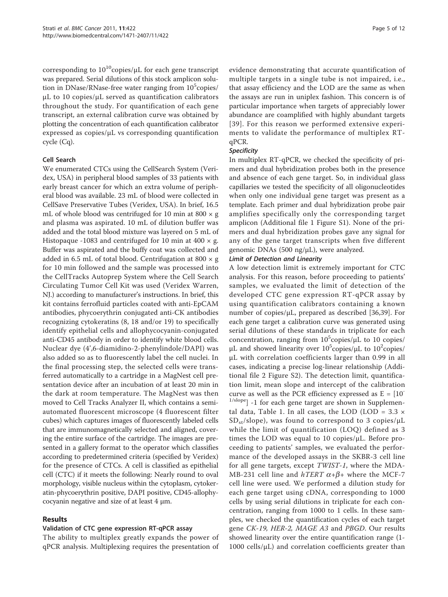corresponding to  $10^{10}$ copies/ $\mu$ L for each gene transcript was prepared. Serial dilutions of this stock amplicon solution in DNase/RNase-free water ranging from  $10^5$ copies/ μL to 10 copies/μL served as quantification calibrators throughout the study. For quantification of each gene transcript, an external calibration curve was obtained by plotting the concentration of each quantification calibrator expressed as copies/μL vs corresponding quantification cycle (Cq).

## Cell Search

We enumerated CTCs using the CellSearch System (Veridex, USA) in peripheral blood samples of 33 patients with early breast cancer for which an extra volume of peripheral blood was available. 23 mL of blood were collected in CellSave Preservative Tubes (Veridex, USA). In brief, 16.5 mL of whole blood was centrifuged for 10 min at 800  $\times$  g and plasma was aspirated. 10 mL of dilution buffer was added and the total blood mixture was layered on 5 mL of Histopaque -1083 and centrifuged for 10 min at 400  $\times$  g. Buffer was aspirated and the buffy coat was collected and added in 6.5 mL of total blood. Centrifugation at 800  $\times$  g for 10 min followed and the sample was processed into the CellTracks Autoprep System where the Cell Search Circulating Tumor Cell Kit was used (Veridex Warren, NJ.) according to manufacturer's instructions. In brief, this kit contains ferrofluid particles coated with anti-EpCAM antibodies, phycoerythrin conjugated anti-CK antibodies recognizing cytokeratins (8, 18 and/or 19) to specifically identify epithelial cells and allophycocyanin-conjugated anti-CD45 antibody in order to identify white blood cells. Nuclear dye (4',6-diamidino-2-phenylindole/DAPI) was also added so as to fluorescently label the cell nuclei. In the final processing step, the selected cells were transferred automatically to a cartridge in a MagNest cell presentation device after an incubation of at least 20 min in the dark at room temperature. The MagNest was then moved to Cell Tracks Analyzer II, which contains a semiautomated fluorescent microscope (4 fluorescent filter cubes) which captures images of fluorescently labeled cells that are immunomagnetically selected and aligned, covering the entire surface of the cartridge. The images are presented in a gallery format to the operator which classifies according to predetermined criteria (specified by Veridex) for the presence of CTCs. A cell is classified as epithelial cell (CTC) if it meets the following: Nearly round to oval morphology, visible nucleus within the cytoplasm, cytokeratin-phycoerythrin positive, DAPI positive, CD45-allophycocyanin negative and size of at least  $4 \mu m$ .

#### Results

#### Validation of CTC gene expression RT-qPCR assay

The ability to multiplex greatly expands the power of qPCR analysis. Multiplexing requires the presentation of

evidence demonstrating that accurate quantification of multiple targets in a single tube is not impaired, i.e., that assay efficiency and the LOD are the same as when the assays are run in uniplex fashion. This concern is of particular importance when targets of appreciably lower abundance are coamplified with highly abundant targets [[39\]](#page-10-0). For this reason we performed extensive experiments to validate the performance of multiplex RTqPCR.

#### Specificity

In multiplex RT-qPCR, we checked the specificity of primers and dual hybridization probes both in the presence and absence of each gene target. So, in individual glass capillaries we tested the specificity of all oligonucleotides when only one individual gene target was present as a template. Each primer and dual hybridization probe pair amplifies specifically only the corresponding target amplicon (Additional file [1](#page-9-0) Figure S1). None of the primers and dual hybridization probes gave any signal for any of the gene target transcripts when five different genomic DNAs (500 ng/μL), were analyzed.

#### Limit of Detection and Linearity

A low detection limit is extremely important for CTC analysis. For this reason, before proceeding to patients' samples, we evaluated the limit of detection of the developed CTC gene expression RT-qPCR assay by using quantification calibrators containing a known number of copies/μL, prepared as described [[36,39\]](#page-10-0). For each gene target a calibration curve was generated using serial dilutions of these standards in triplicate for each concentration, ranging from  $10^5$ copies/ $\mu$ L to 10 copies/ μL and showed linearity over  $10^5$ copies/μL to  $10^2$ copies/ μL with correlation coefficients larger than 0.99 in all cases, indicating a precise log-linear relationship (Additional file [2](#page-9-0) Figure S2). The detection limit, quantification limit, mean slope and intercept of the calibration curve as well as the PCR efficiency expressed as  $E = [10^{-1}]$ <sup>1/slope</sup>] -1 for each gene target are shown in Supplemen-tal data, Table [1](#page-3-0). In all cases, the LOD (LOD =  $3.3 \times$  $SD<sub>st</sub>/slope$ , was found to correspond to 3 copies/ $\mu$ L while the limit of quantification (LOQ) defined as 3 times the LOD was equal to 10 copies/μL. Before proceeding to patients' samples, we evaluated the performance of the developed assays in the SKBR-3 cell line for all gene targets, except TWIST-1, where the MDA-MB-231 cell line and  $hTERT \alpha+\beta+$  where the MCF-7 cell line were used. We performed a dilution study for each gene target using cDNA, corresponding to 1000 cells by using serial dilutions in triplicate for each concentration, ranging from 1000 to 1 cells. In these samples, we checked the quantification cycles of each target gene CK-19, HER-2, MAGE A3 and PBGD. Our results showed linearity over the entire quantification range (1-  $1000$  cells/ $\mu$ L) and correlation coefficients greater than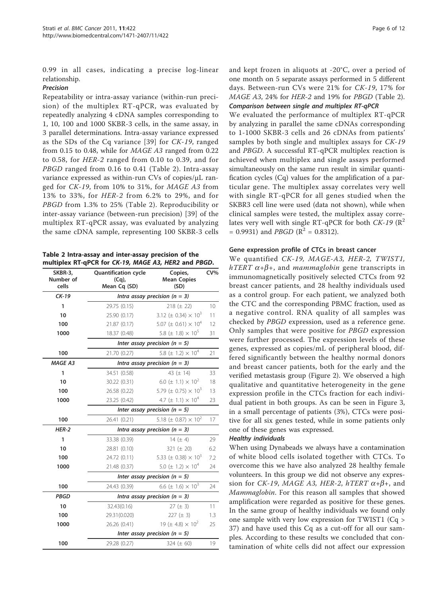0.99 in all cases, indicating a precise log-linear relationship.

# Precision

Repeatability or intra-assay variance (within-run precision) of the multiplex RT-qPCR, was evaluated by repeatedly analyzing 4 cDNA samples corresponding to 1, 10, 100 and 1000 SKBR-3 cells, in the same assay, in 3 parallel determinations. Intra-assay variance expressed as the SDs of the Cq variance [[39\]](#page-10-0) for CK-19, ranged from 0.15 to 0.48, while for MAGE A3 ranged from 0.22 to 0.58, for HER-2 ranged from 0.10 to 0.39, and for PBGD ranged from 0.16 to 0.41 (Table 2). Intra-assay variance expressed as within-run CVs of copies/μL ranged for CK-19, from 10% to 31%, for MAGE A3 from 13% to 33%, for HER-2 from 6.2% to 29%, and for PBGD from 1.3% to 25% (Table 2). Reproducibility or inter-assay variance (between-run precision) [\[39](#page-10-0)] of the multiplex RT-qPCR assay, was evaluated by analyzing the same cDNA sample, representing 100 SKBR-3 cells

Table 2 Intra-assay and inter-assay precision of the multiplex RT-qPCR for CK-19, MAGE A3, HER2 and PBGD.

| SKBR-3,<br>Number of<br>cells | <b>Quantification cycle</b><br>$(Cq)$ ,<br>Mean Cq (SD) | Copies,<br><b>Mean Copies</b><br>(SD)       | CV%             |  |  |
|-------------------------------|---------------------------------------------------------|---------------------------------------------|-----------------|--|--|
| $CK-19$                       | Intra assay precision ( $n = 3$ )                       |                                             |                 |  |  |
| 1                             | 29.75 (0.15)                                            | $218 (\pm 22)$                              | 10 <sup>1</sup> |  |  |
| 10                            | 25.90 (0.17)                                            | 3.12 ( $\pm$ 0.34) $\times$ 10 <sup>3</sup> | 11              |  |  |
| 100                           | 21.87 (0.17)                                            | 5.07 ( $\pm$ 0.61) $\times$ 10 <sup>4</sup> | 12              |  |  |
| 1000                          | 18.37 (0.48)                                            | 5.8 ( $\pm$ 1.8) $\times$ 10 <sup>5</sup>   | 31              |  |  |
|                               | Inter assay precision ( $n = 5$ )                       |                                             |                 |  |  |
| 100                           | 21.70 (0.27)                                            | 5.8 ( $\pm$ 1.2) $\times$ 10 <sup>4</sup>   | 21              |  |  |
| <b>MAGE A3</b>                | Intra assay precision ( $n = 3$ )                       |                                             |                 |  |  |
| 1                             | 34.51 (0.58)                                            | 43 ( $\pm$ 14)                              | 33              |  |  |
| 10                            | 30.22 (0.31)                                            | 6.0 ( $\pm$ 1.1) $\times$ 10 <sup>2</sup>   | 18              |  |  |
| 100                           | 26.58 (0.22)                                            | 5.79 ( $\pm$ 0.75) $\times$ 10 <sup>3</sup> | 13              |  |  |
| 1000                          | 23.25 (0.42)                                            | 4.7 ( $\pm$ 1.1) $\times$ 10 <sup>4</sup>   | 23              |  |  |
|                               | Inter assay precision ( $n = 5$ )                       |                                             |                 |  |  |
| 100                           | 26.41 (0.21)                                            | 5.18 ( $\pm$ 0.87) $\times$ 10 <sup>2</sup> | 17              |  |  |
| $HER-2$                       | Intra assay precision ( $n = 3$ )                       |                                             |                 |  |  |
| 1                             | 33.38 (0.39)                                            | 14 $(\pm 4)$                                | 29              |  |  |
| 10                            | 28.81 (0.10)                                            | 321 ( $\pm$ 20)                             | 6.2             |  |  |
| 100                           | 24.72 (0.11)                                            | 5.33 ( $\pm$ 0.38) $\times$ 10 <sup>3</sup> | 7.2             |  |  |
| 1000                          | 21.48 (0.37)                                            | 5.0 ( $\pm$ 1.2) $\times$ 10 <sup>4</sup>   | 24              |  |  |
|                               | Inter assay precision ( $n = 5$ )                       |                                             |                 |  |  |
| 100                           | 24.43 (0.39)                                            | 6.6 ( $\pm$ 1.6) $\times$ 10 <sup>3</sup>   | 24              |  |  |
| <b>PBGD</b>                   | Intra assay precision ( $n = 3$ )                       |                                             |                 |  |  |
| 10                            | 32.43(0.16)                                             | $27 (\pm 3)$                                | 11              |  |  |
| 100                           | 29.31(0.020)                                            | $227 (\pm 3)$                               | 1.3             |  |  |
| 1000                          | 26.26 (0.41)                                            | 19 ( $\pm$ 4.8) $\times$ 10 <sup>2</sup>    | 25              |  |  |
|                               | Inter assay precision ( $n = 5$ )                       |                                             |                 |  |  |
| 100                           | 29.28 (0.27)                                            | 324 ( $\pm$ 60)                             | 19              |  |  |

and kept frozen in aliquots at -20°C, over a period of one month on 5 separate assays performed in 5 different days. Between-run CVs were 21% for CK-19, 17% for MAGE A3, 24% for HER-2 and 19% for PBGD (Table 2). Comparison between single and multiplex RT-qPCR

We evaluated the performance of multiplex RT-qPCR by analyzing in parallel the same cDNAs corresponding to 1-1000 SKBR-3 cells and 26 cDNAs from patients' samples by both single and multiplex assays for CK-19 and PBGD. A successful RT-qPCR multiplex reaction is achieved when multiplex and single assays performed simultaneously on the same run result in similar quantification cycles (Cq) values for the amplification of a particular gene. The multiplex assay correlates very well with single RT-qPCR for all genes studied when the SKBR3 cell line were used (data not shown), while when clinical samples were tested, the multiplex assay correlates very well with single RT-qPCR for both  $CK-19$  ( $\mathbb{R}^2$ )  $= 0.9931$ ) and *PBGD* ( $\mathbb{R}^2 = 0.8312$ ).

#### Gene expression profile of CTCs in breast cancer

We quantified CK-19, MAGE-A3, HER-2, TWIST1,  $hTERT \alpha+\beta+$ , and *mammaglobin* gene transcripts in immunomagnetically positively selected CTCs from 92 breast cancer patients, and 28 healthy individuals used as a control group. For each patient, we analyzed both the CTC and the corresponding PBMC fraction, used as a negative control. RNA quality of all samples was checked by PBGD expression, used as a reference gene. Only samples that were positive for PBGD expression were further processed. The expression levels of these genes, expressed as copies/mL of peripheral blood, differed significantly between the healthy normal donors and breast cancer patients, both for the early and the verified metastasis group (Figure [2](#page-6-0)). We observed a high qualitative and quantitative heterogeneity in the gene expression profile in the CTCs fraction for each individual patient in both groups. As can be seen in Figure [3](#page-6-0), in a small percentage of patients (3%), CTCs were positive for all six genes tested, while in some patients only one of these genes was expressed.

#### Healthy individuals

When using Dynabeads we always have a contamination of white blood cells isolated together with CTCs. To overcome this we have also analyzed 28 healthy female volunteers. In this group we did not observe any expression for CK-19, MAGE A3, HER-2, hTERT  $\alpha+\beta$ +, and Mammaglobin. For this reason all samples that showed amplification were regarded as positive for these genes. In the same group of healthy individuals we found only one sample with very low expression for TWIST1 (Cq > 37) and have used this Cq as a cut-off for all our samples. According to these results we concluded that contamination of white cells did not affect our expression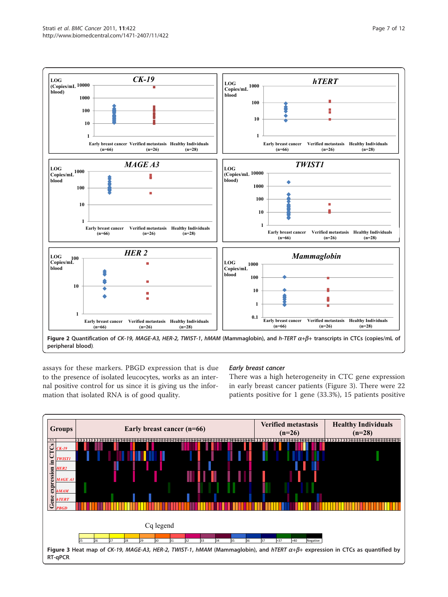<span id="page-6-0"></span>

Figure 2 Quantification of CK-19, MAGE-A3, HER-2, TWIST-1, hMAM (Mammaglobin), and h-TERT  $\alpha+\beta+$  transcripts in CTCs (copies/mL of peripheral blood).

assays for these markers. PBGD expression that is due to the presence of isolated leucocytes, works as an internal positive control for us since it is giving us the information that isolated RNA is of good quality.

# Early breast cancer

There was a high heterogeneity in CTC gene expression in early breast cancer patients (Figure 3). There were 22 patients positive for 1 gene (33.3%), 15 patients positive

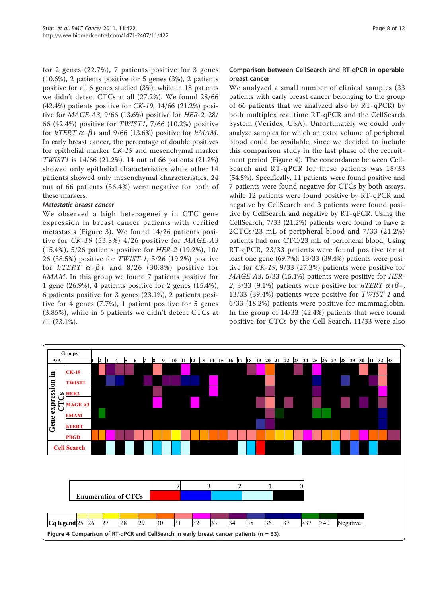for 2 genes (22.7%), 7 patients positive for 3 genes (10.6%), 2 patients positive for 5 genes (3%), 2 patients positive for all 6 genes studied (3%), while in 18 patients we didn't detect CTCs at all (27.2%). We found 28/66 (42.4%) patients positive for CK-19, 14/66 (21.2%) positive for MAGE-A3, 9/66 (13.6%) positive for HER-2, 28/ 66 (42.4%) positive for TWIST1, 7/66 (10.2%) positive for  $hTERT \alpha+\beta+$  and 9/66 (13.6%) positive for  $hMAM$ . In early breast cancer, the percentage of double positives for epithelial marker CK-19 and mesenchymal marker TWIST1 is 14/66 (21.2%). 14 out of 66 patients (21.2%) showed only epithelial characteristics while other 14 patients showed only mesenchymal characteristics. 24 out of 66 patients (36.4%) were negative for both of these markers.

## Metastatic breast cancer

We observed a high heterogeneity in CTC gene expression in breast cancer patients with verified metastasis (Figure [3](#page-6-0)). We found 14/26 patients positive for CK-19 (53.8%) 4/26 positive for MAGE-A3 (15.4%), 5/26 patients positive for HER-2 (19.2%), 10/ 26 (38.5%) positive for TWIST-1, 5/26 (19.2%) positive for  $hTERT \alpha+\beta+$  and 8/26 (30.8%) positive for hMAM. In this group we found 7 patients positive for 1 gene (26.9%), 4 patients positive for 2 genes (15.4%), 6 patients positive for 3 genes (23.1%), 2 patients positive for 4 genes (7.7%), 1 patient positive for 5 genes (3.85%), while in 6 patients we didn't detect CTCs at all (23.1%).

# Comparison between CellSearch and RT-qPCR in operable breast cancer

We analyzed a small number of clinical samples (33 patients with early breast cancer belonging to the group of 66 patients that we analyzed also by RT-qPCR) by both multiplex real time RT-qPCR and the CellSearch System (Veridex, USA). Unfortunately we could only analyze samples for which an extra volume of peripheral blood could be available, since we decided to include this comparison study in the last phase of the recruitment period (Figure 4). The concordance between Cell-Search and RT-qPCR for these patients was 18/33 (54.5%). Specifically, 11 patients were found positive and 7 patients were found negative for CTCs by both assays, while 12 patients were found positive by RT-qPCR and negative by CellSearch and 3 patients were found positive by CellSearch and negative by RT-qPCR. Using the CellSearch, 7/33 (21.2%) patients were found to have  $\geq$ 2CTCs/23 mL of peripheral blood and 7/33 (21.2%) patients had one CTC/23 mL of peripheral blood. Using RT-qPCR, 23/33 patients were found positive for at least one gene (69.7%): 13/33 (39.4%) patients were positive for CK-19, 9/33 (27.3%) patients were positive for MAGE-A3, 5/33 (15.1%) patients were positive for HER-2, 3/33 (9.1%) patients were positive for  $hTERT \alpha+\beta+$ , 13/33 (39.4%) patients were positive for TWIST-1 and 6/33 (18.2%) patients were positive for mammaglobin. In the group of 14/33 (42.4%) patients that were found positive for CTCs by the Cell Search, 11/33 were also

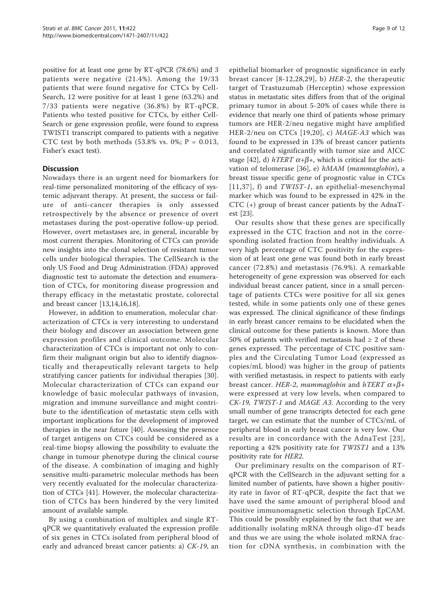positive for at least one gene by RT-qPCR (78.6%) and 3 patients were negative (21.4%). Among the 19/33 patients that were found negative for CTCs by Cell-Search, 12 were positive for at least 1 gene (63.2%) and 7/33 patients were negative (36.8%) by RT-qPCR. Patients who tested positive for CTCs, by either Cell-Search or gene expression profile, were found to express TWIST1 transcript compared to patients with a negative CTC test by both methods  $(53.8\% \text{ vs. } 0\%; \text{ P } = 0.013,$ Fisher's exact test).

# **Discussion**

Nowadays there is an urgent need for biomarkers for real-time personalized monitoring of the efficacy of systemic adjuvant therapy. At present, the success or failure of anti-cancer therapies is only assessed retrospectively by the absence or presence of overt metastases during the post-operative follow-up period. However, overt metastases are, in general, incurable by most current therapies. Monitoring of CTCs can provide new insights into the clonal selection of resistant tumor cells under biological therapies. The CellSearch is the only US Food and Drug Administration (FDA) approved diagnostic test to automate the detection and enumeration of CTCs, for monitoring disease progression and therapy efficacy in the metastatic prostate, colorectal and breast cancer [\[13,14,16,18\]](#page-10-0).

However, in addition to enumeration, molecular characterization of CTCs is very interesting to understand their biology and discover an association between gene expression profiles and clinical outcome. Molecular characterization of CTCs is important not only to confirm their malignant origin but also to identify diagnostically and therapeutically relevant targets to help stratifying cancer patients for individual therapies [[30](#page-10-0)]. Molecular characterization of CTCs can expand our knowledge of basic molecular pathways of invasion, migration and immune surveillance and might contribute to the identification of metastatic stem cells with important implications for the development of improved therapies in the near future [\[40](#page-11-0)]. Assessing the presence of target antigens on CTCs could be considered as a real-time biopsy allowing the possibility to evaluate the change in tumour phenotype during the clinical course of the disease. A combination of imaging and highly sensitive multi-parametric molecular methods has been very recently evaluated for the molecular characterization of CTCs [[41](#page-11-0)]. However, the molecular characterization of CTCs has been hindered by the very limited amount of available sample.

By using a combination of multiplex and single RTqPCR we quantitatively evaluated the expression profile of six genes in CTCs isolated from peripheral blood of early and advanced breast cancer patients: a) CK-19, an

epithelial biomarker of prognostic significance in early breast cancer [\[8-12,28,29\]](#page-10-0), b) HER-2, the therapeutic target of Trastuzumab (Herceptin) whose expression status in metastatic sites differs from that of the original primary tumor in about 5-20% of cases while there is evidence that nearly one third of patients whose primary tumors are HER-2/neu negative might have amplified HER-2/neu on CTCs [\[19,20](#page-10-0)], c) MAGE-A3 which was found to be expressed in 13% of breast cancer patients and correlated significantly with tumor size and AJCC stage [\[42](#page-11-0)], d)  $hTERT \alpha + \beta +$ , which is critical for the activation of telomerase [[36\]](#page-10-0), e) hMAM (mammaglobin), a breast tissue specific gene of prognostic value in CTCs  $[11,37]$  $[11,37]$  $[11,37]$ , f) and TWIST-1, an epithelial-mesenchymal marker which was found to be expressed in 42% in the CTC (+) group of breast cancer patients by the AdnaTest [\[23](#page-10-0)].

Our results show that these genes are specifically expressed in the CTC fraction and not in the corresponding isolated fraction from healthy individuals. A very high percentage of CTC positivity for the expression of at least one gene was found both in early breast cancer (72.8%) and metastasis (76.9%). A remarkable heterogeneity of gene expression was observed for each individual breast cancer patient, since in a small percentage of patients CTCs were positive for all six genes tested, while in some patients only one of these genes was expressed. The clinical significance of these findings in early breast cancer remains to be elucidated when the clinical outcome for these patients is known. More than 50% of patients with verified metastasis had  $\geq 2$  of these genes expressed. The percentage of CTC positive samples and the Circulating Tumor Load (expressed as copies/mL blood) was higher in the group of patients with verified metastasis, in respect to patients with early breast cancer. HER-2, mammaglobin and hTERT  $\alpha+\beta+$ were expressed at very low levels, when compared to CK-19, TWIST-1 and MAGE A3. According to the very small number of gene transcripts detected for each gene target, we can estimate that the number of CTCs/mL of peripheral blood in early breast cancer is very low. Our results are in concordance with the AdnaTest [[23\]](#page-10-0), reporting a 42% positivity rate for TWIST1 and a 13% positivity rate for HER2.

Our preliminary results on the comparison of RTqPCR with the CellSearch in the adjuvant setting for a limited number of patients, have shown a higher positivity rate in favor of RT-qPCR, despite the fact that we have used the same amount of peripheral blood and positive immunomagnetic selection through EpCAM. This could be possibly explained by the fact that we are additionally isolating mRNA through oligo-dT beads and thus we are using the whole isolated mRNA fraction for cDNA synthesis, in combination with the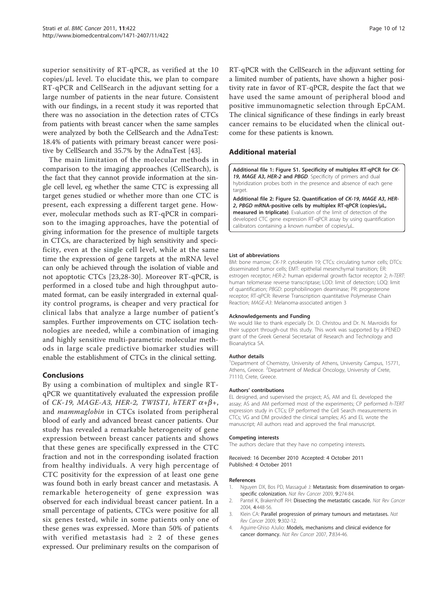<span id="page-9-0"></span>superior sensitivity of RT-qPCR, as verified at the 10 copies/μL level. To elucidate this, we plan to compare RT-qPCR and CellSearch in the adjuvant setting for a large number of patients in the near future. Consistent with our findings, in a recent study it was reported that there was no association in the detection rates of CTCs from patients with breast cancer when the same samples were analyzed by both the CellSearch and the AdnaTest: 18.4% of patients with primary breast cancer were positive by CellSearch and 35.7% by the AdnaTest [\[43](#page-11-0)].

The main limitation of the molecular methods in comparison to the imaging approaches (CellSearch), is the fact that they cannot provide information at the single cell level, eg whether the same CTC is expressing all target genes studied or whether more than one CTC is present, each expressing a different target gene. However, molecular methods such as RT-qPCR in comparison to the imaging approaches, have the potential of giving information for the presence of multiple targets in CTCs, are characterized by high sensitivity and specificity, even at the single cell level, while at the same time the expression of gene targets at the mRNA level can only be achieved through the isolation of viable and not apoptotic CTCs [[23,28-30](#page-10-0)]. Moreover RT-qPCR, is performed in a closed tube and high throughput automated format, can be easily intergraded in external quality control programs, is cheaper and very practical for clinical labs that analyze a large number of patient's samples. Further improvements on CTC isolation technologies are needed, while a combination of imaging and highly sensitive multi-parametric molecular methods in large scale predictive biomarker studies will enable the establishment of CTCs in the clinical setting.

## Conclusions

By using a combination of multiplex and single RTqPCR we quantitatively evaluated the expression profile of CK-19, MAGE-A3, HER-2, TWIST1,  $hTERT \alpha+\beta+$ , and mammaglobin in CTCs isolated from peripheral blood of early and advanced breast cancer patients. Our study has revealed a remarkable heterogeneity of gene expression between breast cancer patients and shows that these genes are specifically expressed in the CTC fraction and not in the corresponding isolated fraction from healthy individuals. A very high percentage of CTC positivity for the expression of at least one gene was found both in early breast cancer and metastasis. A remarkable heterogeneity of gene expression was observed for each individual breast cancer patient. In a small percentage of patients, CTCs were positive for all six genes tested, while in some patients only one of these genes was expressed. More than 50% of patients with verified metastasis had  $\geq 2$  of these genes expressed. Our preliminary results on the comparison of

RT-qPCR with the CellSearch in the adjuvant setting for a limited number of patients, have shown a higher positivity rate in favor of RT-qPCR, despite the fact that we have used the same amount of peripheral blood and positive immunomagnetic selection through EpCAM. The clinical significance of these findings in early breast cancer remains to be elucidated when the clinical outcome for these patients is known.

# Additional material

[Additional file 1: F](http://www.biomedcentral.com/content/supplementary/1471-2407-11-422-S1.PPT)igure S1. Specificity of multiplex RT-qPCR for CK-19, MAGE A3, HER-2 and PBGD. Specificity of primers and dual hybridization probes both in the presence and absence of each gene target.

[Additional file 2: F](http://www.biomedcentral.com/content/supplementary/1471-2407-11-422-S2.PPT)igure S2. Quantification of CK-19, MAGE A3, HER-2, PBGD mRNA-positive cells by multiplex RT-qPCR (copies/μL, measured in triplicate). Evaluation of the limit of detection of the developed CTC gene expression RT-qPCR assay by using quantification calibrators containing a known number of copies/μL.

#### List of abbreviations

BM: bone marrow; CK-19: cytokeratin 19; CTCs: circulating tumor cells; DTCs: disseminated tumor cells; EMT: epithelial mesenchymal transition; ER: estrogen receptor; HER-2: human epidermal growth factor receptor 2; h-TERT: human telomerase reverse transcriptase; LOD: limit of detection; LOQ: limit of quantification; PBGD: porphobilinogen deaminase; PR: progesterone receptor; RT-qPCR: Reverse Transcription quantitative Polymerase Chain Reaction; MAGE-A3: Melanoma-associated antigen 3

#### Acknowledgements and Funding

We would like to thank especially Dr. D. Christou and Dr. N. Mavroidis for their support through-out this study. This work was supported by a PENED grant of the Greek General Secretariat of Research and Technology and Bioanalytica SA.

#### Author details

<sup>1</sup>Department of Chemistry, University of Athens, University Campus, 15771, Athens, Greece. <sup>2</sup>Department of Medical Oncology, University of Crete, 71110, Crete, Greece.

#### Authors' contributions

EL designed, and supervised the project; AS, AM and EL developed the assay; AS and AM performed most of the experiments; CP performed h-TERT expression study in CTCs; EP performed the Cell Search measurements in CTCs; VG and DM provided the clinical samples; AS and EL wrote the manuscript; All authors read and approved the final manuscript.

#### Competing interests

The authors declare that they have no competing interests.

#### Received: 16 December 2010 Accepted: 4 October 2011 Published: 4 October 2011

#### References

- Nguyen DX, Bos PD, Massagué J: [Metastasis: from dissemination to organ](http://www.ncbi.nlm.nih.gov/pubmed/19308067?dopt=Abstract)[specific colonization.](http://www.ncbi.nlm.nih.gov/pubmed/19308067?dopt=Abstract) Nat Rev Cancer 2009, 9:274-84.
- 2. Pantel K, Brakenhoff RH: [Dissecting the metastatic cascade.](http://www.ncbi.nlm.nih.gov/pubmed/15170447?dopt=Abstract) Nat Rev Cancer 2004, 4:448-56.
- 3. Klein CA: [Parallel progression of primary tumours and metastases.](http://www.ncbi.nlm.nih.gov/pubmed/19308069?dopt=Abstract) Nat Rev Cancer 2009, 9:302-12.
- 4. Aguirre-Ghiso AJulio: [Models, mechanisms and clinical evidence for](http://www.ncbi.nlm.nih.gov/pubmed/17957189?dopt=Abstract) [cancer dormancy.](http://www.ncbi.nlm.nih.gov/pubmed/17957189?dopt=Abstract) Nat Rev Cancer 2007, 7:834-46.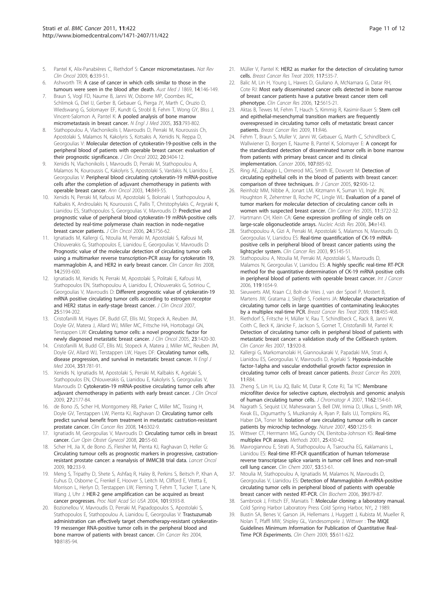- <span id="page-10-0"></span>5. Pantel K, Alix-Panabières C, Riethdorf S: [Cancer micrometastases.](http://www.ncbi.nlm.nih.gov/pubmed/19399023?dopt=Abstract) Nat Rev Clin Oncol 2009, 6:339-51.
- 6. Ashworth TR: A case of cancer in which cells similar to those in the
- tumours were seen in the blood after death. Aust Med J 1869, 14:146-149. 7. Braun S, Vogl FD, Naume B, Janni W, Osborne MP, Coombes RC, Schlimok G, Diel IJ, Gerber B, Gebauer G, Pierga JY, Marth C, Oruzio D, Wiedswang G, Solomayer EF, Kundt G, Strobl B, Fehm T, Wong GY, Bliss J, Vincent-Salomon A, Pantel K: [A pooled analysis of bone marrow](http://www.ncbi.nlm.nih.gov/pubmed/16120859?dopt=Abstract) [micrometastasis in breast cancer.](http://www.ncbi.nlm.nih.gov/pubmed/16120859?dopt=Abstract) N Engl J Med 2005, 353:793-802.
- Stathopoulou A, Vlachonikolis I, Mavroudis D, Perraki M, Kouroussis Ch, Apostolaki S, Malamos N, Kakolyris S, Kotsakis A, Xenidis N, Reppa D, Georgoulias V: [Molecular detection of cytokeratin-19-positive cells in the](http://www.ncbi.nlm.nih.gov/pubmed/12177100?dopt=Abstract) [peripheral blood of patients with operable breast cancer: evaluation of](http://www.ncbi.nlm.nih.gov/pubmed/12177100?dopt=Abstract) [their prognostic significance.](http://www.ncbi.nlm.nih.gov/pubmed/12177100?dopt=Abstract) J Clin Oncol 2002, 20:3404-12.
- 9. Xenidis N, Vlachonikolis I, Mavroudis D, Perraki M, Stathopoulou A, Malamos N, Kouroussis C, Kakolyris S, Apostolaki S, Vardakis N, Lianidou E, Georgoulias V: [Peripheral blood circulating cytokeratin-19 mRNA-positive](http://www.ncbi.nlm.nih.gov/pubmed/12796021?dopt=Abstract) [cells after the completion of adjuvant chemotherapy in patients with](http://www.ncbi.nlm.nih.gov/pubmed/12796021?dopt=Abstract) [operable breast cancer.](http://www.ncbi.nlm.nih.gov/pubmed/12796021?dopt=Abstract) Ann Oncol 2003, 14:849-55.
- 10. Xenidis N, Perraki M, Kafousi M, Apostolaki S, Bolonaki I, Stathopoulou A, Kalbakis K, Androulakis N, Kouroussis C, Pallis T, Christophylakis C, Argyraki K, Lianidou ES, Stathopoulos S, Georgoulias V, Mavroudis D: [Predictive and](http://www.ncbi.nlm.nih.gov/pubmed/16769987?dopt=Abstract) [prognostic value of peripheral blood cytokeratin-19 mRNA-positive cells](http://www.ncbi.nlm.nih.gov/pubmed/16769987?dopt=Abstract) [detected by real-time polymerase chain reaction in node-negative](http://www.ncbi.nlm.nih.gov/pubmed/16769987?dopt=Abstract) [breast cancer patients.](http://www.ncbi.nlm.nih.gov/pubmed/16769987?dopt=Abstract) J Clin Oncol 2006, 24:3756-62.
- 11. Ignatiadis M, Kallergi G, Ntoulia M, Perraki M, Apostolaki S, Kafousi M, Chlouverakis G, Stathopoulos E, Lianidou E, Georgoulias V, Mavroudis D: [Prognostic value of the molecular detection of circulating tumor cells](http://www.ncbi.nlm.nih.gov/pubmed/18451221?dopt=Abstract) [using a multimarker reverse transcription-PCR assay for cytokeratin 19,](http://www.ncbi.nlm.nih.gov/pubmed/18451221?dopt=Abstract) [mammaglobin A, and HER2 in early breast cancer.](http://www.ncbi.nlm.nih.gov/pubmed/18451221?dopt=Abstract) Clin Cancer Res 2008, 14:2593-600.
- 12. Ignatiadis M, Xenidis N, Perraki M, Apostolaki S, Politaki E, Kafousi M, Stathopoulos EN, Stathopoulou A, Lianidou E, Chlouverakis G, Sotiriou C, Georgoulias V, Mavroudis D: [Different prognostic value of cytokeratin-19](http://www.ncbi.nlm.nih.gov/pubmed/17954712?dopt=Abstract) [mRNA positive circulating tumor cells according to estrogen receptor](http://www.ncbi.nlm.nih.gov/pubmed/17954712?dopt=Abstract) [and HER2 status in early-stage breast cancer.](http://www.ncbi.nlm.nih.gov/pubmed/17954712?dopt=Abstract) J Clin Oncol 2007, 25:5194-202.
- 13. Cristofanilli M, Hayes DF, Budd GT, Ellis MJ, Stopeck A, Reuben JM, Doyle GV, Matera J, Allard WJ, Miller MC, Fritsche HA, Hortobagyi GN, Terstappen LW: [Circulating tumor cells: a novel prognostic factor for](http://www.ncbi.nlm.nih.gov/pubmed/15735118?dopt=Abstract) [newly diagnosed metastatic breast cancer.](http://www.ncbi.nlm.nih.gov/pubmed/15735118?dopt=Abstract) J Clin Oncol 2005, 23:1420-30.
- 14. Cristofanilli M, Budd GT, Ellis MJ, Stopeck A, Matera J, Miller MC, Reuben JM, Doyle GV, Allard WJ, Terstappen LW, Hayes DF: [Circulating tumor cells,](http://www.ncbi.nlm.nih.gov/pubmed/15317891?dopt=Abstract) [disease progression, and survival in metastatic breast cancer.](http://www.ncbi.nlm.nih.gov/pubmed/15317891?dopt=Abstract) N Engl J Med 2004, 351:781-91.
- 15. Xenidis N, Ignatiadis M, Apostolaki S, Perraki M, Kalbakis K, Agelaki S, Stathopoulos EN, Chlouverakis G, Lianidou E, Kakolyris S, Georgoulias V, Mavroudis D: [Cytokeratin-19 mRNA-positive circulating tumor cells after](http://www.ncbi.nlm.nih.gov/pubmed/19332733?dopt=Abstract) [adjuvant chemotherapy in patients with early breast cancer.](http://www.ncbi.nlm.nih.gov/pubmed/19332733?dopt=Abstract) J Clin Oncol 2009, 27:2177-84.
- 16. de Bono JS, Scher HI, Montgomery RB, Parker C, Miller MC, Tissing H, Doyle GV, Terstappen LW, Pienta KJ, Raghavan D: [Circulating tumor cells](http://www.ncbi.nlm.nih.gov/pubmed/18829513?dopt=Abstract) [predict survival benefit from treatment in metastatic castration-resistant](http://www.ncbi.nlm.nih.gov/pubmed/18829513?dopt=Abstract) [prostate cancer.](http://www.ncbi.nlm.nih.gov/pubmed/18829513?dopt=Abstract) Clin Cancer Res 2008, 14:6302-9.
- 17. Ignatiadis M, Georgoulias V, Mavroudis D: [Circulating tumor cells in breast](http://www.ncbi.nlm.nih.gov/pubmed/18197007?dopt=Abstract) [cancer.](http://www.ncbi.nlm.nih.gov/pubmed/18197007?dopt=Abstract) Curr Opin Obstet Gynecol 2008, 20:55-60.
- 18. Scher HI, Jia X, de Bono JS, Fleisher M, Pienta KJ, Raghavan D, Heller G: [Circulating tumour cells as prognostic markers in progressive, castration](http://www.ncbi.nlm.nih.gov/pubmed/19213602?dopt=Abstract)[resistant prostate cancer: a reanalysis of IMMC38 trial data.](http://www.ncbi.nlm.nih.gov/pubmed/19213602?dopt=Abstract) Lancet Oncol 2009, 10:233-9.
- 19. Meng S, Tripathy D, Shete S, Ashfaq R, Haley B, Perkins S, Beitsch P, Khan A, Euhus D, Osborne C, Frenkel E, Hoover S, Leitch M, Clifford E, Vitetta E, Morrison L, Herlyn D, Terstappen LW, Fleming T, Fehm T, Tucker T, Lane N, Wang J, Uhr J: [HER-2 gene amplification can be acquired as breast](http://www.ncbi.nlm.nih.gov/pubmed/15194824?dopt=Abstract) [cancer progresses.](http://www.ncbi.nlm.nih.gov/pubmed/15194824?dopt=Abstract) Proc Natl Acad Sci USA 2004, 101:9393-8.
- 20. Bozionellou V, Mavroudis D, Perraki M, Papadopoulos S, Apostolaki S, Stathopoulos E, Stathopoulou A, Lianidou E, Georgoulias V: [Trastuzumab](http://www.ncbi.nlm.nih.gov/pubmed/15623593?dopt=Abstract) [administration can effectively target chemotherapy-resistant cytokeratin-](http://www.ncbi.nlm.nih.gov/pubmed/15623593?dopt=Abstract)[19 messenger RNA-positive tumor cells in the peripheral blood and](http://www.ncbi.nlm.nih.gov/pubmed/15623593?dopt=Abstract) [bone marrow of patients with breast cancer.](http://www.ncbi.nlm.nih.gov/pubmed/15623593?dopt=Abstract) Clin Cancer Res 2004, 10:8185-94.
- 21. Müller V, Pantel K: [HER2 as marker for the detection of circulating tumor](http://www.ncbi.nlm.nih.gov/pubmed/19115105?dopt=Abstract) [cells.](http://www.ncbi.nlm.nih.gov/pubmed/19115105?dopt=Abstract) Breast Cancer Res Treat 2009, 117:535-7.
- 22. Balic M, Lin H, Young L, Hawes D, Giuliano A, McNamara G, Datar RH, Cote RJ: [Most early disseminated cancer cells detected in bone marrow](http://www.ncbi.nlm.nih.gov/pubmed/17020963?dopt=Abstract) [of breast cancer patients have a putative breast cancer stem cell](http://www.ncbi.nlm.nih.gov/pubmed/17020963?dopt=Abstract) [phenotype.](http://www.ncbi.nlm.nih.gov/pubmed/17020963?dopt=Abstract) Clin Cancer Res 2006, 12:5615-21.
- 23. Aktas B, Tewes M, Fehm T, Hauch S, Kimmig R, Kasimir-Bauer S: [Stem cell](http://www.ncbi.nlm.nih.gov/pubmed/19589136?dopt=Abstract) [and epithelial-mesenchymal transition markers are frequently](http://www.ncbi.nlm.nih.gov/pubmed/19589136?dopt=Abstract) [overexpressed in circulating tumor cells of metastatic breast cancer](http://www.ncbi.nlm.nih.gov/pubmed/19589136?dopt=Abstract) [patients.](http://www.ncbi.nlm.nih.gov/pubmed/19589136?dopt=Abstract) Breast Cancer Res 2009, 11:R46.
- 24. Fehm T, Braun S, Muller V, Janni W, Gebauer G, Marth C, Schindlbeck C, Wallwiener D, Borgen E, Naume B, Pantel K, Solomayer E: [A concept for](http://www.ncbi.nlm.nih.gov/pubmed/16874814?dopt=Abstract) [the standardized detection of disseminated tumor cells in bone marrow](http://www.ncbi.nlm.nih.gov/pubmed/16874814?dopt=Abstract) [from patients with primary breast cancer and its clinical](http://www.ncbi.nlm.nih.gov/pubmed/16874814?dopt=Abstract) [implementation.](http://www.ncbi.nlm.nih.gov/pubmed/16874814?dopt=Abstract) Cancer 2006, 107:885-92.
- 25. Ring AE, Zabaglo L, Ormerod MG, Smith IE, Dowsett M: [Detection of](http://www.ncbi.nlm.nih.gov/pubmed/15714202?dopt=Abstract) [circulating epithelial cells in the blood of patients with breast cancer:](http://www.ncbi.nlm.nih.gov/pubmed/15714202?dopt=Abstract) [comparison of three techniques.](http://www.ncbi.nlm.nih.gov/pubmed/15714202?dopt=Abstract) Br J Cancer 2005, 92:906-12.
- Reinholz MM, Nibbe A, Jonart LM, Kitzmann K, Suman VJ, Ingle JN, Houghton R, Zehentner B, Roche PC, Lingle WL: [Evaluation of a panel of](http://www.ncbi.nlm.nih.gov/pubmed/15897569?dopt=Abstract) [tumor markers for molecular detection of circulating cancer cells in](http://www.ncbi.nlm.nih.gov/pubmed/15897569?dopt=Abstract) [women with suspected breast cancer.](http://www.ncbi.nlm.nih.gov/pubmed/15897569?dopt=Abstract) Clin Cancer Res 2005, 11:3722-32.
- 27. Hartmann CH, Klein CA: [Gene expression profiling of single cells on](http://www.ncbi.nlm.nih.gov/pubmed/17071717?dopt=Abstract) [large-scale oligonucleotide arrays.](http://www.ncbi.nlm.nih.gov/pubmed/17071717?dopt=Abstract) Nucleic Acids Res 2006, 34:e143.
- Stathopoulou A, Gizi A, Perraki M, Apostolaki S, Malamos N, Mayroudis D, Georgoulias V, Lianidou ES: [Real-time quantification of CK-19 mRNA](http://www.ncbi.nlm.nih.gov/pubmed/14613993?dopt=Abstract)[positive cells in peripheral blood of breast cancer patients using the](http://www.ncbi.nlm.nih.gov/pubmed/14613993?dopt=Abstract) [lightcycler system.](http://www.ncbi.nlm.nih.gov/pubmed/14613993?dopt=Abstract) Clin Cancer Res 2003, 9:5145-51.
- Stathopoulou A, Ntoulia M, Perraki M, Apostolaki S, Mavroudis D, Malamos N, Georgoulias V, Lianidou ES: [A highly specific real-time RT-PCR](http://www.ncbi.nlm.nih.gov/pubmed/16708381?dopt=Abstract) [method for the quantitative determination of CK-19 mRNA positive cells](http://www.ncbi.nlm.nih.gov/pubmed/16708381?dopt=Abstract) [in peripheral blood of patients with operable breast cancer.](http://www.ncbi.nlm.nih.gov/pubmed/16708381?dopt=Abstract) Int J Cancer 2006, 119:1654-9.
- 30. Sieuwerts AM, Kraan CJ, Bolt-de Vries J, van der Spoel P, Mostert B, Martens JW, Gratama J, Sleijfer S, Foekens JA: [Molecular characterization of](http://www.ncbi.nlm.nih.gov/pubmed/19115104?dopt=Abstract) [circulating tumor cells in large quantities of contaminating leukocytes](http://www.ncbi.nlm.nih.gov/pubmed/19115104?dopt=Abstract) by [a multiplex real-time PCR.](http://www.ncbi.nlm.nih.gov/pubmed/19115104?dopt=Abstract) Breast Cancer Res Treat 2009, 118:455-468.
- 31. Riethdorf S, Fritsche H, Müller V, Rau T, Schindlbeck C, Rack B, Janni W, Coith C, Beck K, Jänicke F, Jackson S, Gornet T, Cristofanilli M, Pantel K: [Detection of circulating tumor cells in peripheral blood of patients with](http://www.ncbi.nlm.nih.gov/pubmed/17289886?dopt=Abstract) [metastatic breast cancer: a validation study of the CellSearch system.](http://www.ncbi.nlm.nih.gov/pubmed/17289886?dopt=Abstract) Clin Cancer Res 2007, 13:920-8.
- 32. Kallergi G, Markomanolaki H, Giannoukaraki V, Papadaki MA, Strati A, Lianidou ES, Georgoulias V, Mavroudis D, Agelaki S: [Hypoxia-inducible](http://www.ncbi.nlm.nih.gov/pubmed/19919679?dopt=Abstract) [factor-1alpha and vascular endothelial growth factor expression in](http://www.ncbi.nlm.nih.gov/pubmed/19919679?dopt=Abstract) [circulating tumor cells of breast cancer patients.](http://www.ncbi.nlm.nih.gov/pubmed/19919679?dopt=Abstract) Breast Cancer Res 2009, 11:R84.
- 33. Zheng S, Lin H, Liu JO, Balic M, Datar R, Cote RJ, Tai YC: [Membrane](http://www.ncbi.nlm.nih.gov/pubmed/17561026?dopt=Abstract) [microfilter device for selective capture, electrolysis and genomic analysis](http://www.ncbi.nlm.nih.gov/pubmed/17561026?dopt=Abstract) [of human circulating tumor cells.](http://www.ncbi.nlm.nih.gov/pubmed/17561026?dopt=Abstract) J Chromatogr A 2007, 1162:154-61.
- 34. Nagrath S, Sequist LV, Maheswaran S, Bell DW, Irimia D, Ulkus L, Smith MR, Kwak EL, Digumarthy S, Muzikansky A, Ryan P, Balis UJ, Tompkins RG, Haber DA, Toner M: [Isolation of rare circulating tumour cells in cancer](http://www.ncbi.nlm.nih.gov/pubmed/18097410?dopt=Abstract) [patients by microchip technology.](http://www.ncbi.nlm.nih.gov/pubmed/18097410?dopt=Abstract) Nature 2007, 450:1235-9.
- 35. Wittwer CT, Herrmann MG, Gundry CN, Elenitoba-Johnson KS: [Real-time](http://www.ncbi.nlm.nih.gov/pubmed/11846612?dopt=Abstract) [multiplex PCR assays.](http://www.ncbi.nlm.nih.gov/pubmed/11846612?dopt=Abstract) Methods 2001, 25:430-42.
- 36. Mavrogiannou E, Strati A, Stathopoulou A, Tsaroucha EG, Kaklamanis L, Lianidou ES: [Real-time RT-PCR quantification of human telomerase](http://www.ncbi.nlm.nih.gov/pubmed/17130181?dopt=Abstract) [reverse transcriptase splice variants in tumor cell lines and non-small](http://www.ncbi.nlm.nih.gov/pubmed/17130181?dopt=Abstract) [cell lung cancer.](http://www.ncbi.nlm.nih.gov/pubmed/17130181?dopt=Abstract) Clin Chem 2007, 53:53-61.
- 37. Ntoulia M, Stathopoulou A, Ignatiadis M, Malamos N, Mavroudis D, Georgoulias V, Lianidou ES: [Detection of Mammaglobin A-mRNA-positive](http://www.ncbi.nlm.nih.gov/pubmed/16925986?dopt=Abstract) [circulating tumor cells in peripheral blood of patients with operable](http://www.ncbi.nlm.nih.gov/pubmed/16925986?dopt=Abstract) [breast cancer with nested RT-PCR.](http://www.ncbi.nlm.nih.gov/pubmed/16925986?dopt=Abstract) Clin Biochem 2006, 39:879-87.
- 38. Sambrook J, Fritsch EF, Maniatis T: Molecular cloning: a laboratory manual. Cold Spring Harbor Laboratory Press Cold Spring Harbor, NY;, 2 1989.
- 39. Bustin SA, Benes V, Garson JA, Hellemans J, Huggett J, Kubista M, Mueller R, Nolan T, Pfaffl MW, Shipley GL, Vandesompele J, Wittwer : [The MIQE](http://www.ncbi.nlm.nih.gov/pubmed/19246619?dopt=Abstract) Guidelines Minimum I[nformation for Publication of](http://www.ncbi.nlm.nih.gov/pubmed/19246619?dopt=Abstract) Quantitative Real-Time PCR E[xperiments.](http://www.ncbi.nlm.nih.gov/pubmed/19246619?dopt=Abstract) Clin Chem 2009, 55:611-622.